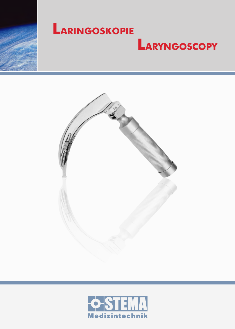

## $L$ ARINGOSKOPIE

## **LARYNGOSCOPY**



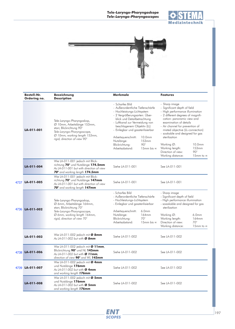



|      | <b>Bestell-Nr.</b><br>Ordering no. | <b>Bezeichnung</b><br><b>Description</b>                                                                                                                                              | <b>Merkmale</b>                                                                                                                                                                                                                                                                                                                   |                                                        | <b>Features</b>                                                                                                                                                                                                                                                                                                                                                                                   |                                                              |
|------|------------------------------------|---------------------------------------------------------------------------------------------------------------------------------------------------------------------------------------|-----------------------------------------------------------------------------------------------------------------------------------------------------------------------------------------------------------------------------------------------------------------------------------------------------------------------------------|--------------------------------------------------------|---------------------------------------------------------------------------------------------------------------------------------------------------------------------------------------------------------------------------------------------------------------------------------------------------------------------------------------------------------------------------------------------------|--------------------------------------------------------------|
|      | LA-011-001                         | Tele-Laryngo-Pharyngoskop,<br>Ø 10mm, Arbeitslänge 153mm,<br>starr, Blickrichtung 90°<br>Tele-Laryngo-Pharyngoscope,<br>Ø 10mm, working length 153mm,<br>rigid, direction of view 90° | - Scharfes Bild<br>- Außerordentliche Tiefenschärfe<br>- Hochleistungs-Lichtsystem<br>- 2 Vergrößerungsarten: Über-<br>blick und Detailbetrachtung<br>- Luftkanal zur Vermeidung von<br>beschlagenem Objektiv (LL)<br>- Einlegbar und gassterilisierbar<br>Arbeitsquerschnitt:<br>Nutzlänge:<br>Blickrichtung:<br>Arbeitsabstand: | 10.0mm<br>153mm<br>$90^\circ$<br>15mm bis $\infty$     | - Sharp image<br>- Significant depth of field<br>- High performance illumination<br>- 2 different degrees of magnifi-<br>cation: panoramic view and<br>examination of details<br>- Air channel for prevention of<br>misted objective (LL-connection)<br>- soakable and designed for gas<br>sterilization<br>Working $\varnothing$ :<br>Working length:<br>Direction of view:<br>Working distance: | 10.0mm<br>153mm<br>$90^\circ$<br>15mm to ∞                   |
|      | LA-011-004                         | Wie LA-011-001 jedoch mit Blick-<br>richtung 70° und Nutzlänge 174.5mm<br>As LA-011-001 but with direction of view<br>70° and working length 174.5mm                                  | Siehe LA-011-001                                                                                                                                                                                                                                                                                                                  |                                                        | See LA-011-001                                                                                                                                                                                                                                                                                                                                                                                    |                                                              |
| 4737 | LA-011-005                         | Wie LA-011-001 jedoch mit Blick-<br>richtung 70° und Nutzlänge 147mm<br>As LA-011-001 but with direction of view<br>70° and working length 147mm                                      | Siehe LA-011-001                                                                                                                                                                                                                                                                                                                  |                                                        | See LA-011-001                                                                                                                                                                                                                                                                                                                                                                                    |                                                              |
| 4736 | LA-011-002                         | Tele-Laryngo-Pharyngoskop,<br>Ø 6mm, Arbeitslänge 164mm,<br>starr, Blickrichtung 70°<br>Tele-Laryngo-Pharyngoscope,<br>Ø 6mm, working length 164mm,<br>rigid, direction of view 70°   | - Scharfes Bild<br>- Außerordentliche Tiefenschärfe<br>- Hochleistungs-Lichtsystem<br>- Einlegbar und gassterilisierbar<br>Arbeitsquerschnitt:<br>Nutzlänge:<br>Blickrichtung:<br>Arbeitsabstand:                                                                                                                                 | 6.0 <sub>mm</sub><br>164mm<br>$70^\circ$<br>15mm bis ∞ | - Sharp image<br>- Significant depth of field<br>- High performance illumination<br>- soaakable and designed for gas<br>sterilization<br>Working $\varnothing$ :<br>Working length:<br>Direction of view:<br>Working distance:                                                                                                                                                                    | 6.0 <sub>mm</sub><br>164mm<br>$70^\circ$<br>15mm to $\infty$ |
|      | LA-011-003                         | Wie LA-011-002 jedoch mit Ø 8mm<br>As LA-011-002 but with Ø 8mm                                                                                                                       | Siehe LA-011-002                                                                                                                                                                                                                                                                                                                  |                                                        | See LA-011-002                                                                                                                                                                                                                                                                                                                                                                                    |                                                              |
| 4738 | LA-011-006                         | Wie LA-011-002 jedoch mit Ø 11mm,<br>Blickrichtung 90° und NL 145mm<br>As LA-011-002 but with Ø 11mm,<br>direction of view 90° and WL 145mm                                           | Siehe LA-011-002                                                                                                                                                                                                                                                                                                                  |                                                        | See LA-011-002                                                                                                                                                                                                                                                                                                                                                                                    |                                                              |
| 4739 | LA-011-007                         | Wie LA-011-002 jedoch mit Ø 4mm<br>und Nutzlänge 176mm<br>As LA-011-002 but with Ø 4mm<br>and working length 176mm                                                                    | Siehe LA-011-002                                                                                                                                                                                                                                                                                                                  |                                                        | See LA-011-002                                                                                                                                                                                                                                                                                                                                                                                    |                                                              |
|      | LA-011-008                         | Wie LA-011-002 jedoch mit Ø 5mm<br>und Nutzlänge 176mm<br>As LA-011-002 but with Ø 5mm<br>and working length 176mm                                                                    | Siehe LA-011-002                                                                                                                                                                                                                                                                                                                  |                                                        | See LA-011-002                                                                                                                                                                                                                                                                                                                                                                                    |                                                              |

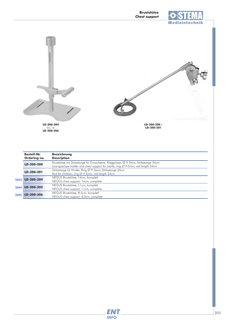



NEGUS Bruststütze, 11cm, komplett *NEGUS chest support, 11cm, complete* NEGUS Bruststütze, 8.5cm, komplett 5944 LD-200-205

*NEGUS chest support, 8.5cm, complete* 5945 LD-200-206

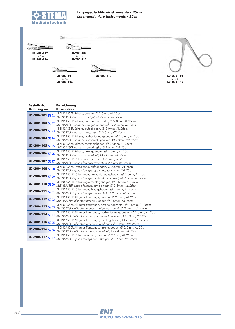

**Bezeichnung Description Bestell-Nr. Ordering no.** KLEINSASSER Schere, gerade, Ø 2.0mm, AL 25cm *KLEINSASSER scissors, straight, Ø 2.0mm, WL 25cm* **LD-200-103** 5893 KLEINSASSER Schere, aufgebogen, Ø 2.0mm, AL 25cm<br>KLEINSASSER scissors, upcurved, Ø 2.0mm, WL 25cm KLEINSASSER Schere, horizontal aufgebogen, Ø 2.0mm, AL 25cm *KLEINSASSER scissors, horizontal upcurved, Ø 2.0mm, WL 25cm* KLEINSASSER Schere, rechts gebogen, Ø 2.0mm, AL 25cm **KD-200-105** 5895 KLEINSASSER scissors, curved right, Ø 2.0mm, WL 25cm KLEINSASSER Schere, gerade, horizontal, Ø 2.0mm, AL 25cm **LD-200-102** 5892 KLEINSASSER scissors, straight, horizontal, Ø 2.0mm, WL 25cm KLEINSASSER Schere, links gebogen, Ø 2.0mm, AL 25cm **LD-200-106** 5896 **KLEINSASSER scissors, curved left, Ø 2.0mm, WL 25cm** KLEINSASSER Löffelzange, gerade, Ø 2.5mm, AL 25cm **LD-200-107** 5897 KLEINSASSER spoon forceps, straight, Ø 2.5mm, WL 25cm **LD-200-108** 5898 KLEINSASSER Löffelzange, aufgebogen, Ø 2.5mm, AL 25cm<br>**LD-200-108** 5898 KLEINSASSER spoon forceps, upcurved, Ø 2.5mm, WL 25cm **LD-200-109** 5899 KLEINSASSER Löffelzange, horizontal aufgebogen, Ø 2.5mm, AL 25cm<br>**LD-200-109** 5899 KLEINSASSER spoon forceps, horizontal upcurved, Ø 2.5mm, WL 25cm KLEINSASSER Löffelzange, links gebogen, Ø 2.5mm, AL 25cm **LD-200-111** 5901 *KLEINSASSER spoon forceps, curved left, Ø 2.5mm, WL 25cm* KLEINSASSER Löffelzange, rechts gebogen, Ø 2.5mm, AL 25cm **LD-200-110** 5900 **KLEINSASSER spoon forceps, curved right, Ø 2.5mm, WL 25cm** KLEINSASSER Alligator Fasszange, gerade, Ø 2.0mm, AL 25cm **LD-200-112** 5902 KLEINSASSER alligator forceps, straight, Ø 2.0mm, WL 25cm **LD-200-101** bis / *to* **LD-200-117 LD-200-112** bis / *to* **LD-200-116 LD-200-107** bis / *to* **LD-200-111 LD-200-101** bis / *to* **LD-200-106 LD-200-117** LD-200-101 5891 LD-200-104 5894



KLEINSASSER Löffelzange oval, gerade, Ø 2.5mm, AL 25cm

KLEINSASSER Alligator Fasszange, gerade horizontal, Ø 2.0mm, AL 25cm

KLEINSASSER Alligator Fasszange, links gebogen, Ø 2.0mm, AL 25cm

KLEINSASSER Alligator Fasszange, rechts gebogen, Ø 2.0mm, AL 25cm

KLEINSASSER Alligator Fasszange, horizontal aufgebogen, Ø 2.0mm, AL 25cm

**LD-200-117** 5907 KLEINSASSER spoon forceps oval, straight, Ø 2.5mm, WL 25cm

**LD-200-116** 5906 KLEINSASSER alligator forceps, curved left, Ø 2.0mm, WL 25cm

**LD-200-115** 5905 *KLEINSASSER alligator forceps, curved right, Ø 2.0mm, WL 25cm* 

**LD-200-113** 5903 KLEINSASSER alligator forceps, straight horizontal, Ø 2.0mm, WL 25cm

**LD-200-114** 5904 KLEINSASSER alligator forceps, horizontal upcurved, Ø 2.0mm, WL 25cm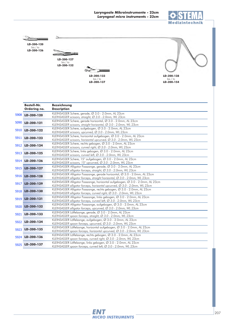



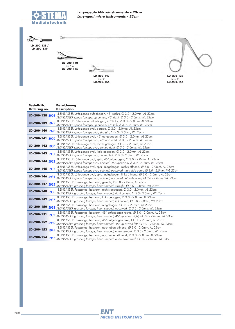

 $\circ$ **LD-200-138 /**

**LD-200-139**

**Bestell-Nr.**

**LD-200-140** bis / *to* **LD-200-146**

**Bezeichnung**

**LD-200-147** bis / *to* **LD-200-154**



**LD-200-138** bis / *to* **LD-200-154**

| Ordering no.    | <b>Description</b>                                                                                                                                                     |
|-----------------|------------------------------------------------------------------------------------------------------------------------------------------------------------------------|
| LD-200-138 5926 | KLEINSASSER Löffelzange aufgebogen, $45^{\circ}$ rechts, $\varnothing$ 3.0 - 2.0mm, AL 23cm<br>KLEINSASSER spoon forceps, up curved, 45° right, Ø 3.0 - 2.0mm, WL 23cm |
| LD-200-139 5927 | KLEINSASSER Löffelzange aufgebogen, 45° links, Ø 3.0 - 2.0mm, AL 23cm<br>KLEINSASSER spoon forceps, up curved, 45° left, Ø 3.0 - 2.0mm, WL 23cm                        |
| LD-200-140 5928 | KLEINSASSER Löffelzange oval, gerade, Ø 3.0 - 2.0mm, AL 23cm<br>KLEINSASSER spoon forceps oval, straight, Ø 3.0 - 2.0mm, WL 23cm                                       |
| LD-200-141 5929 | KLEINSASSER Löffelzange oval, 45° aufgebogen, Ø 3.0 - 2.0mm, AL 23cm<br>KLEINSASSER spoon forceps oval, 45° upcurved, Ø 3.0 - 2.0mm, WL 23cm                           |
| LD-200-142 5930 | KLEINSASSER Löffelzange oval, rechts gebogen, Ø 3.0 - 2.0mm, AL 23cm<br>KLEINSASSER spoon forceps oval, curved right, Ø 3.0 - 2.0mm, WL 23cm                           |
| LD-200-143 5931 | KLEINSASSER Löffelzange oval, links gebogen, Ø 3.0 - 2.0mm, AL 23cm<br>KLEINSASSER spoon forceps oval, curved left, Ø 3.0 - 2.0mm, WL 23cm                             |
| LD-200-144 5932 | KLEINSASSER Löffelzange oval, spitz, 45°aufgebogen, Ø 3.0 - 2.0mm, AL 23<br>KLEINSASSER spoon forceps oval, pointed, 45° upcurved, Ø 3.0 - 2.0mm, WL                   |
|                 | KLEINSASSER Löffelzange oval, spitz, aufgebogen, rechts öffnend, Ø 3.0 - 2.0                                                                                           |

| LD-200-143 5931 | KLEINSASSER Löffelzange oval, links gebogen, Ø 3.0 - 2.0mm, AL 23cm<br>KLEINSASSER spoon forceps oval, curved left, Ø 3.0 - 2.0mm, WL 23cm                                                                                         |
|-----------------|------------------------------------------------------------------------------------------------------------------------------------------------------------------------------------------------------------------------------------|
| LD-200-144 5932 | KLEINSASSER Löffelzange oval, spitz, 45°aufgebogen, Ø 3.0 - 2.0mm, AL 23cm                                                                                                                                                         |
|                 | KLEINSASSER spoon forceps oval, pointed, 45° upcurved, Ø 3.0 - 2.0mm, WL 23cm                                                                                                                                                      |
| LD-200-145 5933 | KLEINSASSER Löffelzange oval, spitz, aufgebogen, rechts öffnend, $\varnothing$ 3.0 - 2.0mm, AL 23cm<br>KLEINSASSER spoon forceps oval, pointed, upcurved, right side open, Ø 3.0 - 2.0mm, WL 23cm                                  |
| LD-200-146 5934 | KLEINSASSER Löffelzange oval, spitz, aufgebogen, links öffnend, Ø 3.0 - 2.0mm, AL 23cm<br>KLEINSASSER spoon forceps oval, pointed, upcurved, left side open, $\varnothing$ 3.0 - 2.0mm, WL 23cm                                    |
| LD-200-147 5935 | KLEINSASSER Fasszange, herzform, gerade, Ø 3.0 - 2.0mm, AL 23cm<br>KLEINSASSER grasping forceps, heart shaped, straight, Ø 3.0 - 2.0mm, WL 23cm                                                                                    |
|                 | KLEINSASSER Fasszange, herzform, rechts gebogen, Ø 3.0 - 2.0mm, AL 23cm<br>LD-200-148 5936 KLEINSASSER grasping forceps, heart shaped, right curved, Ø 3.0 - 2.0mm, WL 23cm                                                        |
|                 | KLEINSASSER Fasszange, herzform, links gebogen, Ø 3.0 - 2.0mm, AL 23cm<br>LD-200-149 5937 KLEINSASSER grasping forceps, heart shaped, left curved, $\varnothing$ 3.0 - 2.0mm, WL 23cm                                              |
|                 | KLEINSASSER Fasszange, herzform, aufgebogen, Ø 3.0 - 2.0mm, AL 23cm<br>LD-200-150 5938 KLEINSASSER grasping forceps, heart shaped, upcurved, Ø 3.0 - 2.0mm, WL 23cm                                                                |
| LD-200-151 5939 | KLEINSASSER Fasszange, herzform, 45° aufgebogen rechts, Ø 3.0 - 2.0mm, AL 23cm<br>KLEINSASSER grasping forceps, heart shaped, $45^{\circ}$ upcurved right, $\varnothing$ 3.0 - 2.0mm, WL 23cm                                      |
|                 | KLEINSASSER Fasszange, herzform, 45° aufgebogen links, Ø 3.0 - 2.0mm, AL 23cm<br>LD-200-152 5940 KLEINSASSER grasping forceps, heart shaped, 45° up curved left, Ø 3.0 - 2.0mm, WL 23cm                                            |
|                 | KLEINSASSER Fasszange, herzform, nach oben öffnend, Ø 3.0 - 2.0mm, AL 23cm<br>LD-200-153 5941 KLEINSASSER grasping forceps, heart shaped, open upward, Ø 3.0 - 2.0mm, WL 23cm                                                      |
|                 | $\mathcal{L}$ . The set of the set of the set of the set of the set of the set of the set of the set of the set of the set of the set of the set of the set of the set of the set of the set of the set of the set of the set of t |

**LD-200-154** 5942 KLEINSASSER Fasszange, herzform, nach unten öffnend, Ø 3.0 - 2.0mm, AL 23cm<br>**LD-200-154** 5942 KLEINSASSER grasping forceps, heart shaped, open downward, Ø 3.0 - 2.0mm, WL 23cm

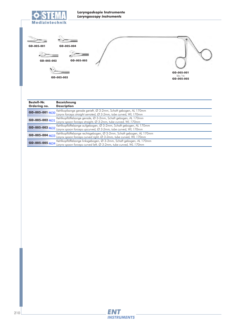

| GD-005-001<br>GD-005-002           | GD-005-004<br>GD-005-005<br>GD-005-003                                                                                                          | GD-005-001<br>bis / to<br>GD-005-005 |
|------------------------------------|-------------------------------------------------------------------------------------------------------------------------------------------------|--------------------------------------|
| <b>Bestell-Nr.</b><br>Ordering no. | <b>Bezeichnung</b><br><b>Description</b>                                                                                                        |                                      |
| GD-005-001 4630                    | Kehlkopfzange gerade gerieft, Ø 3-2mm, Schaft gebogen, AL 170mm<br>Larynx forceps straight serrated, $\varnothing$ 3-2mm, tube curved, WL 170mm |                                      |
| GD-005-002 4631                    | Kehlkopflöffelzange gerade, Ø 3-2mm, Schaft gebogen, AL 170mm<br>Larynx spoon forceps straight, Ø 3-2mm, tube curved, WL 170mm                  |                                      |
| GD-005-003 4632                    | Kehlkopflöffelzange aufgebogen, Ø 3-2mm, Schaft gebogen, AL 170mm<br>Larynx spoon forceps upcurved, Ø 3-2mm, tube curved, WL 170mm              |                                      |

**GD-005-005** 4634 <sup>Kehlkopflöffelzange linksgebogen, Ø 3-2mm, Schaft gebogen, AL 170mm<br>**GD-005-005** 4634 Larynx spoon forceps curved left, Ø 3-2mm, tube curved, WL 170mm</sup> **GD-005-004** 4633 <sup>Kehlkopflöffelzange rechtsgebogen, Ø 3-2mm, Schaft gebogen, AL 170mm<br>**GD-005-004** 4633 Larynx spoon forceps curved right, Ø 3-2mm, tube curved, WL 170mm</sup> 4633 4634

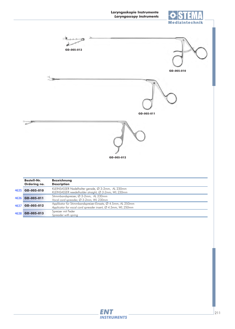

|      | <b>Bestell-Nr.</b><br>Ordering no. | <b>Bezeichnung</b><br><b>Description</b>                                                                                                                                  |  |  |
|------|------------------------------------|---------------------------------------------------------------------------------------------------------------------------------------------------------------------------|--|--|
| 4635 | GD-005-010                         | KLEINSASSER Nadelhalter gerade, Ø 3-2mm, AL 230mm<br>KLEINSASSER needelholder straight, Ø 3-2mm, WL 230mm                                                                 |  |  |
| 4636 | GD-005-011                         | Stimmbandspreizer, Ø 3-2mm, AL 230mm<br>Vocal cord spreader, Ø 3-2mm, WL 230mm                                                                                            |  |  |
| 4637 | GD-005-012                         | Applikator für Stimmbandspreizer-Einsatz, Ø 4.5mm, AL 250mm<br>Applicator for vocal cord spreader insert, Ø 4.5mm, WL 250mm<br>Spreizer mit Feder<br>Spreader with spring |  |  |
| 4638 | GD-005-013                         |                                                                                                                                                                           |  |  |